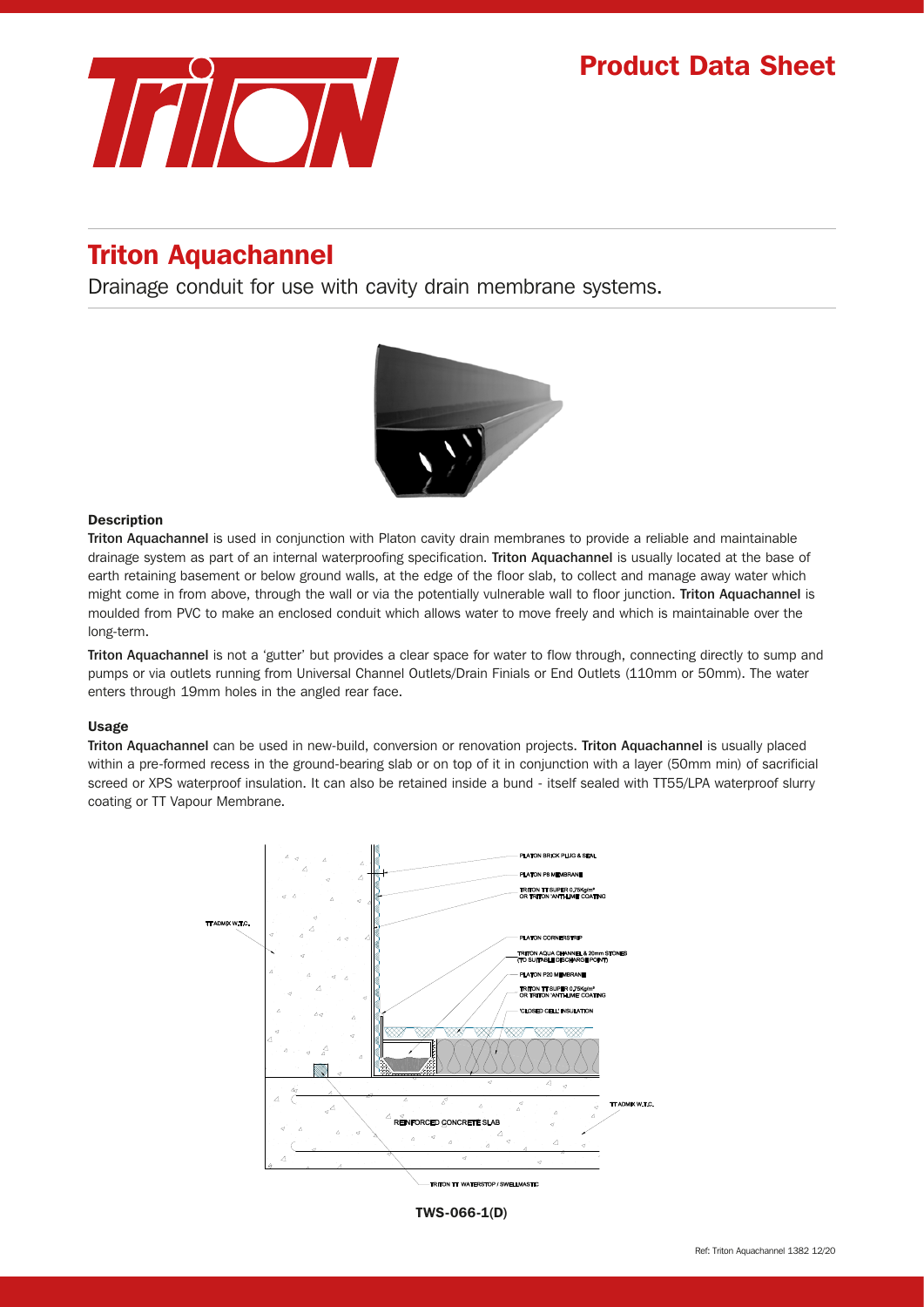

# Triton Aquachannel

Drainage conduit for use with cavity drain membrane systems.



#### Description

Triton Aquachannel is used in conjunction with Platon cavity drain membranes to provide a reliable and maintainable drainage system as part of an internal waterproofing specification. Triton Aquachannel is usually located at the base of earth retaining basement or below ground walls, at the edge of the floor slab, to collect and manage away water which might come in from above, through the wall or via the potentially vulnerable wall to floor junction. Triton Aquachannel is moulded from PVC to make an enclosed conduit which allows water to move freely and which is maintainable over the long-term.

Triton Aquachannel is not a 'gutter' but provides a clear space for water to flow through, connecting directly to sump and pumps or via outlets running from Universal Channel Outlets/Drain Finials or End Outlets (110mm or 50mm). The water enters through 19mm holes in the angled rear face.

#### Usage

Triton Aquachannel can be used in new-build, conversion or renovation projects. Triton Aquachannel is usually placed within a pre-formed recess in the ground-bearing slab or on top of it in conjunction with a layer (50mm min) of sacrificial screed or XPS waterproof insulation. It can also be retained inside a bund - itself sealed with TT55/LPA waterproof slurry coating or TT Vapour Membrane.



TWS-066-1(D)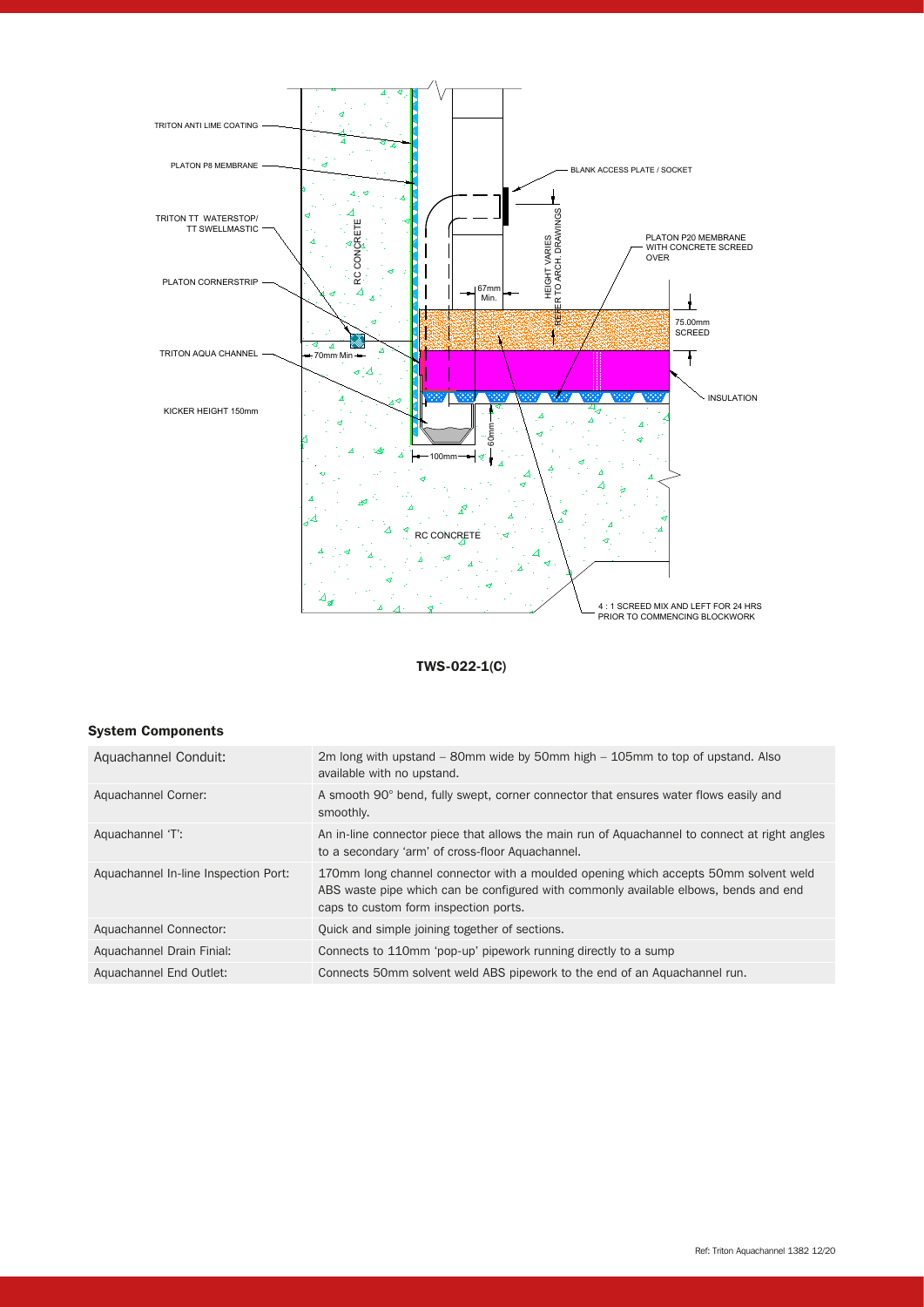

## TWS-022-1(C)

## System Components

| Aquachannel Conduit:                 | 2m long with upstand $-$ 80mm wide by 50mm high $-$ 105mm to top of upstand. Also<br>available with no upstand.                                                                                                      |
|--------------------------------------|----------------------------------------------------------------------------------------------------------------------------------------------------------------------------------------------------------------------|
| Aquachannel Corner:                  | A smooth 90° bend, fully swept, corner connector that ensures water flows easily and<br>smoothly.                                                                                                                    |
| Aquachannel 'T':                     | An in-line connector piece that allows the main run of Aquachannel to connect at right angles<br>to a secondary 'arm' of cross-floor Aquachannel.                                                                    |
| Aquachannel In-line Inspection Port: | 170mm long channel connector with a moulded opening which accepts 50mm solvent weld<br>ABS waste pipe which can be configured with commonly available elbows, bends and end<br>caps to custom form inspection ports. |
| Aquachannel Connector:               | Quick and simple joining together of sections.                                                                                                                                                                       |
| Aquachannel Drain Finial:            | Connects to 110mm 'pop-up' pipework running directly to a sump                                                                                                                                                       |
| Aquachannel End Outlet:              | Connects 50mm solvent weld ABS pipework to the end of an Aquachannel run.                                                                                                                                            |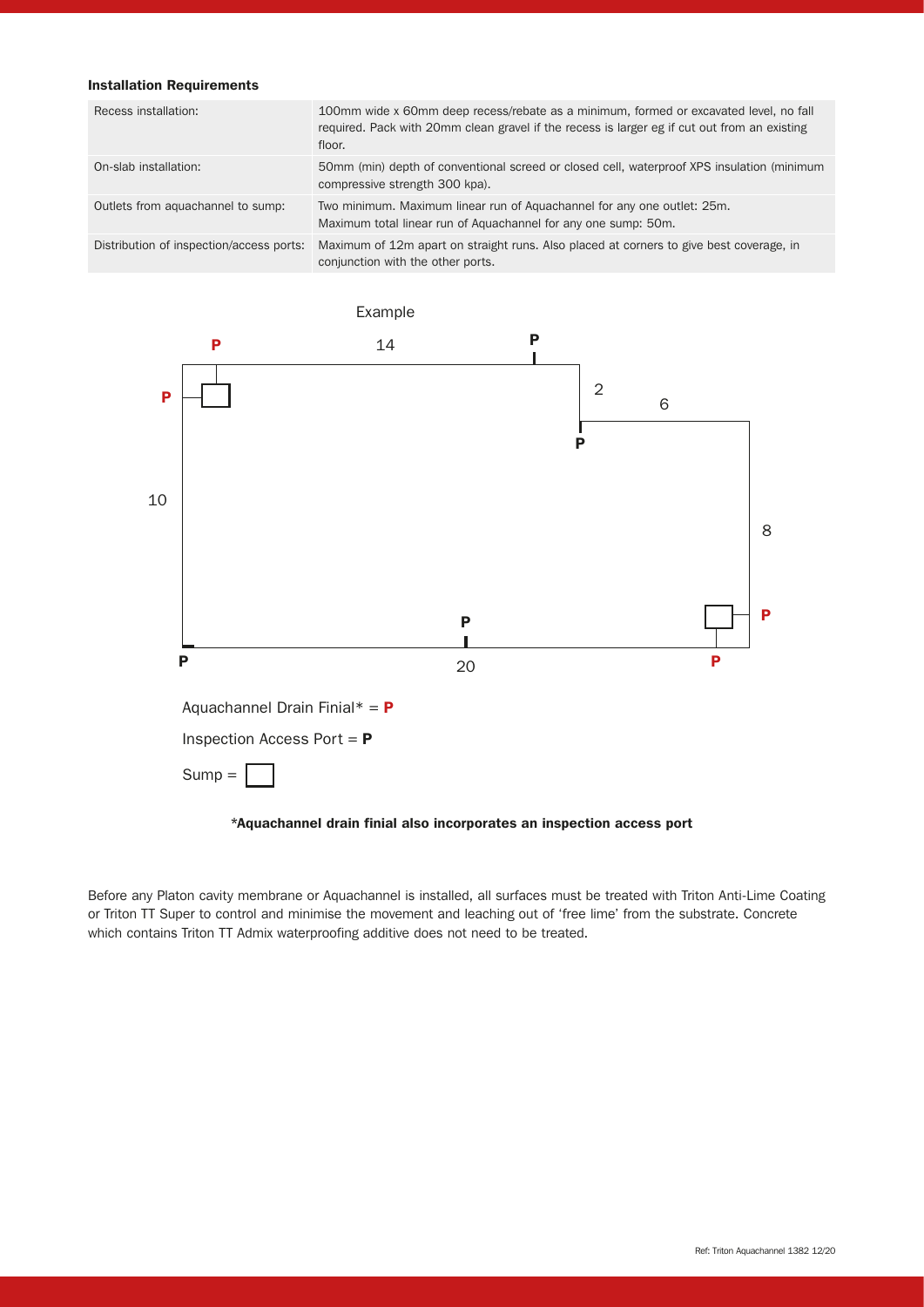# Installation Requirements

| Recess installation:                     | 100mm wide x 60mm deep recess/rebate as a minimum, formed or excavated level, no fall<br>required. Pack with 20mm clean gravel if the recess is larger eg if cut out from an existing<br>floor. |
|------------------------------------------|-------------------------------------------------------------------------------------------------------------------------------------------------------------------------------------------------|
| On-slab installation:                    | 50mm (min) depth of conventional screed or closed cell, waterproof XPS insulation (minimum<br>compressive strength 300 kpa).                                                                    |
| Outlets from aquachannel to sump:        | Two minimum. Maximum linear run of Aguachannel for any one outlet: 25m.<br>Maximum total linear run of Aquachannel for any one sump: 50m.                                                       |
| Distribution of inspection/access ports: | Maximum of 12m apart on straight runs. Also placed at corners to give best coverage, in<br>conjunction with the other ports.                                                                    |



## \*Aquachannel drain finial also incorporates an inspection access port

Before any Platon cavity membrane or Aquachannel is installed, all surfaces must be treated with Triton Anti-Lime Coating or Triton TT Super to control and minimise the movement and leaching out of 'free lime' from the substrate. Concrete which contains Triton TT Admix waterproofing additive does not need to be treated.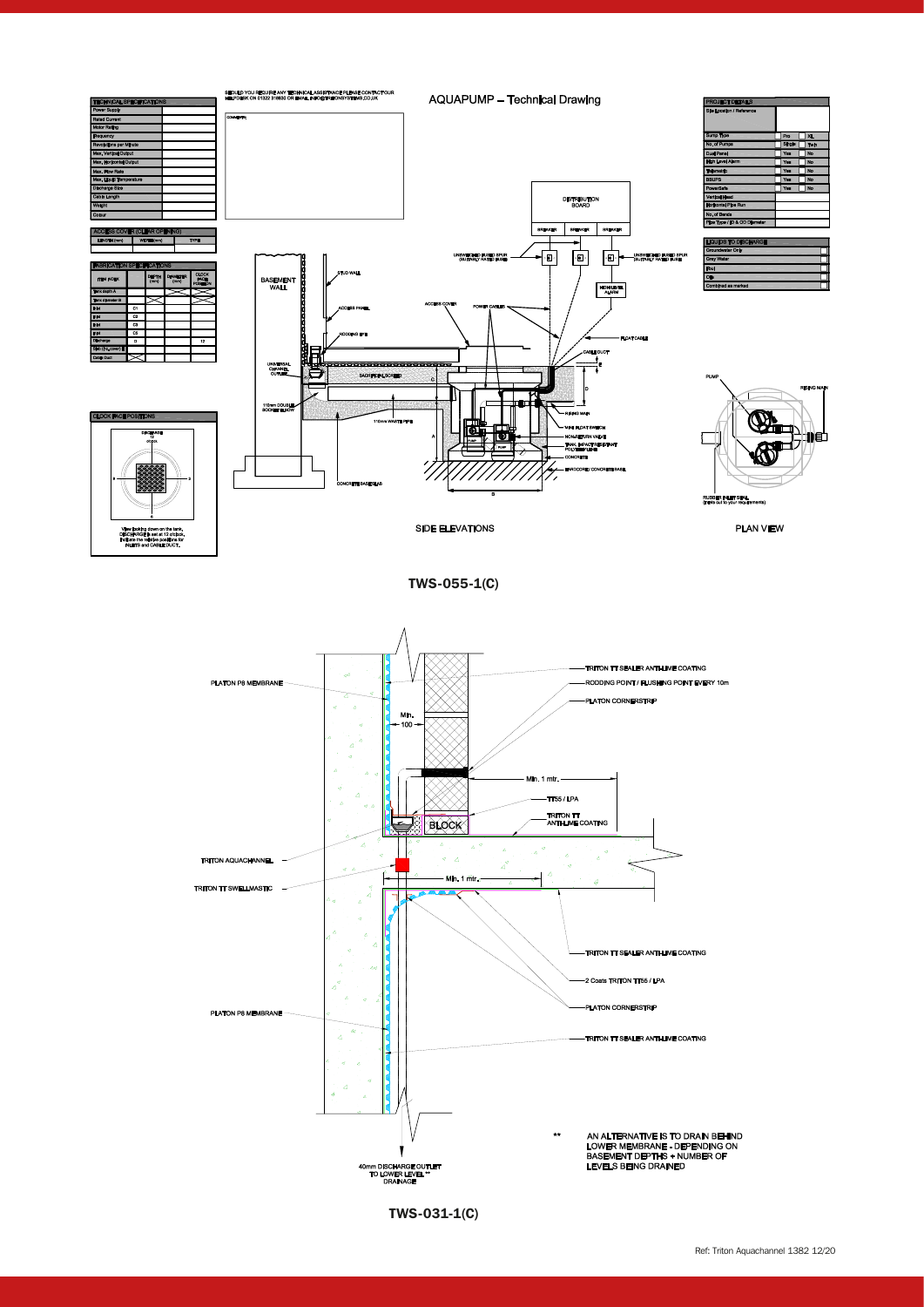